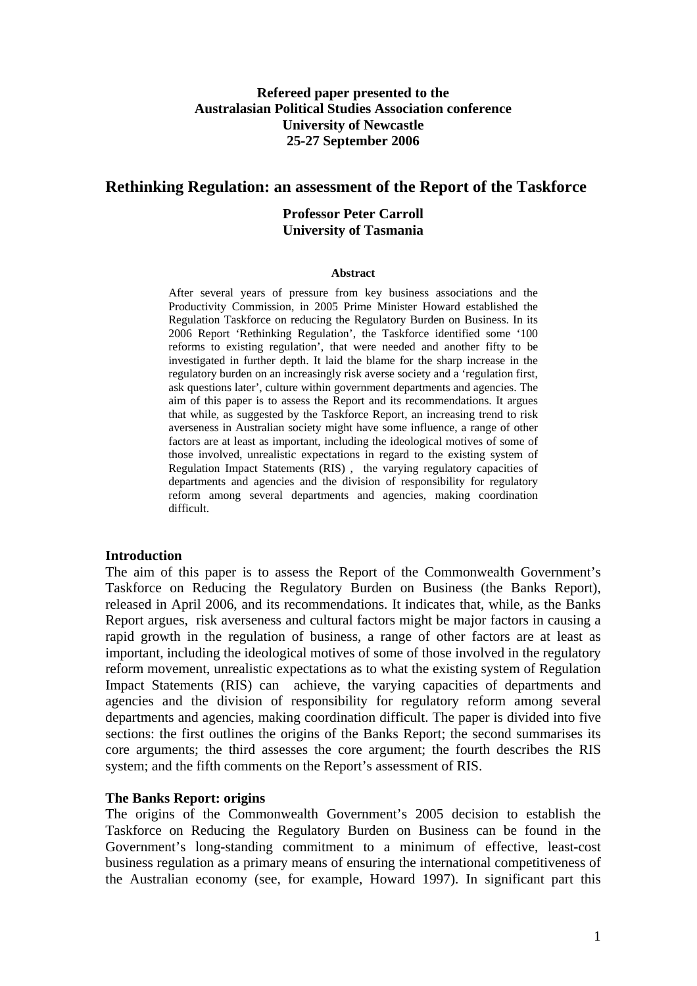# **Refereed paper presented to the Australasian Political Studies Association conference University of Newcastle 25-27 September 2006**

### **Rethinking Regulation: an assessment of the Report of the Taskforce**

### **Professor Peter Carroll University of Tasmania**

#### **Abstract**

After several years of pressure from key business associations and the Productivity Commission, in 2005 Prime Minister Howard established the Regulation Taskforce on reducing the Regulatory Burden on Business. In its 2006 Report 'Rethinking Regulation', the Taskforce identified some '100 reforms to existing regulation', that were needed and another fifty to be investigated in further depth. It laid the blame for the sharp increase in the regulatory burden on an increasingly risk averse society and a 'regulation first, ask questions later', culture within government departments and agencies. The aim of this paper is to assess the Report and its recommendations. It argues that while, as suggested by the Taskforce Report, an increasing trend to risk averseness in Australian society might have some influence, a range of other factors are at least as important, including the ideological motives of some of those involved, unrealistic expectations in regard to the existing system of Regulation Impact Statements (RIS) , the varying regulatory capacities of departments and agencies and the division of responsibility for regulatory reform among several departments and agencies, making coordination difficult.

#### **Introduction**

The aim of this paper is to assess the Report of the Commonwealth Government's Taskforce on Reducing the Regulatory Burden on Business (the Banks Report), released in April 2006, and its recommendations. It indicates that, while, as the Banks Report argues, risk averseness and cultural factors might be major factors in causing a rapid growth in the regulation of business, a range of other factors are at least as important, including the ideological motives of some of those involved in the regulatory reform movement, unrealistic expectations as to what the existing system of Regulation Impact Statements (RIS) can achieve, the varying capacities of departments and agencies and the division of responsibility for regulatory reform among several departments and agencies, making coordination difficult. The paper is divided into five sections: the first outlines the origins of the Banks Report; the second summarises its core arguments; the third assesses the core argument; the fourth describes the RIS system; and the fifth comments on the Report's assessment of RIS.

#### **The Banks Report: origins**

The origins of the Commonwealth Government's 2005 decision to establish the Taskforce on Reducing the Regulatory Burden on Business can be found in the Government's long-standing commitment to a minimum of effective, least-cost business regulation as a primary means of ensuring the international competitiveness of the Australian economy (see, for example, Howard 1997). In significant part this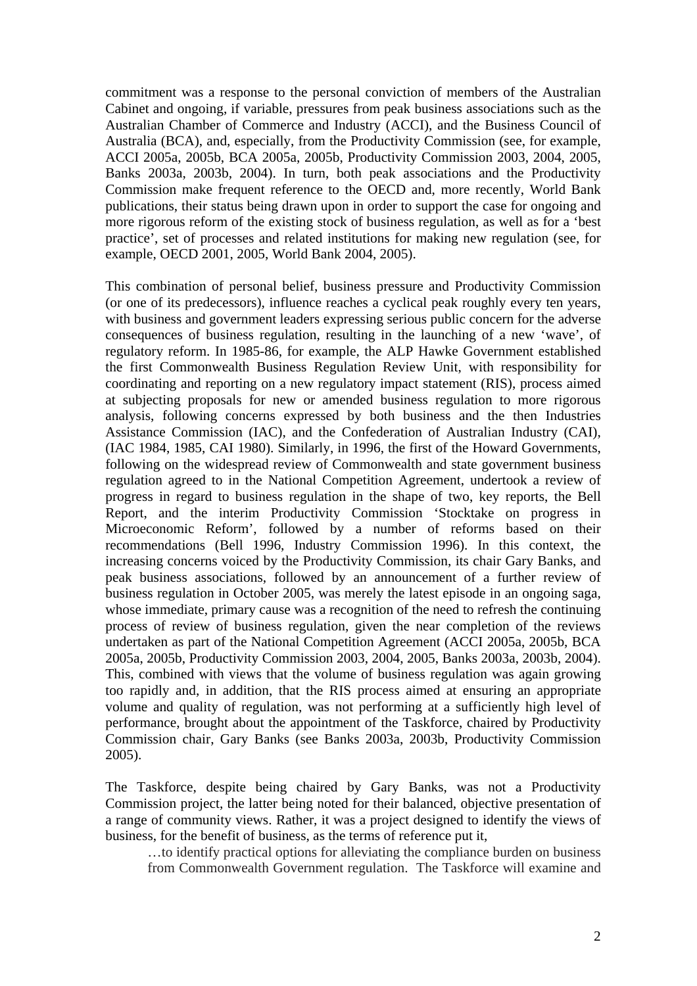commitment was a response to the personal conviction of members of the Australian Cabinet and ongoing, if variable, pressures from peak business associations such as the Australian Chamber of Commerce and Industry (ACCI), and the Business Council of Australia (BCA), and, especially, from the Productivity Commission (see, for example, ACCI 2005a, 2005b, BCA 2005a, 2005b, Productivity Commission 2003, 2004, 2005, Banks 2003a, 2003b, 2004). In turn, both peak associations and the Productivity Commission make frequent reference to the OECD and, more recently, World Bank publications, their status being drawn upon in order to support the case for ongoing and more rigorous reform of the existing stock of business regulation, as well as for a 'best practice', set of processes and related institutions for making new regulation (see, for example, OECD 2001, 2005, World Bank 2004, 2005).

This combination of personal belief, business pressure and Productivity Commission (or one of its predecessors), influence reaches a cyclical peak roughly every ten years, with business and government leaders expressing serious public concern for the adverse consequences of business regulation, resulting in the launching of a new 'wave', of regulatory reform. In 1985-86, for example, the ALP Hawke Government established the first Commonwealth Business Regulation Review Unit, with responsibility for coordinating and reporting on a new regulatory impact statement (RIS), process aimed at subjecting proposals for new or amended business regulation to more rigorous analysis, following concerns expressed by both business and the then Industries Assistance Commission (IAC), and the Confederation of Australian Industry (CAI), (IAC 1984, 1985, CAI 1980). Similarly, in 1996, the first of the Howard Governments, following on the widespread review of Commonwealth and state government business regulation agreed to in the National Competition Agreement, undertook a review of progress in regard to business regulation in the shape of two, key reports, the Bell Report, and the interim Productivity Commission 'Stocktake on progress in Microeconomic Reform', followed by a number of reforms based on their recommendations (Bell 1996, Industry Commission 1996). In this context, the increasing concerns voiced by the Productivity Commission, its chair Gary Banks, and peak business associations, followed by an announcement of a further review of business regulation in October 2005, was merely the latest episode in an ongoing saga, whose immediate, primary cause was a recognition of the need to refresh the continuing process of review of business regulation, given the near completion of the reviews undertaken as part of the National Competition Agreement (ACCI 2005a, 2005b, BCA 2005a, 2005b, Productivity Commission 2003, 2004, 2005, Banks 2003a, 2003b, 2004). This, combined with views that the volume of business regulation was again growing too rapidly and, in addition, that the RIS process aimed at ensuring an appropriate volume and quality of regulation, was not performing at a sufficiently high level of performance, brought about the appointment of the Taskforce, chaired by Productivity Commission chair, Gary Banks (see Banks 2003a, 2003b, Productivity Commission 2005).

The Taskforce, despite being chaired by Gary Banks, was not a Productivity Commission project, the latter being noted for their balanced, objective presentation of a range of community views. Rather, it was a project designed to identify the views of business, for the benefit of business, as the terms of reference put it,

…to identify practical options for alleviating the compliance burden on business from Commonwealth Government regulation. The Taskforce will examine and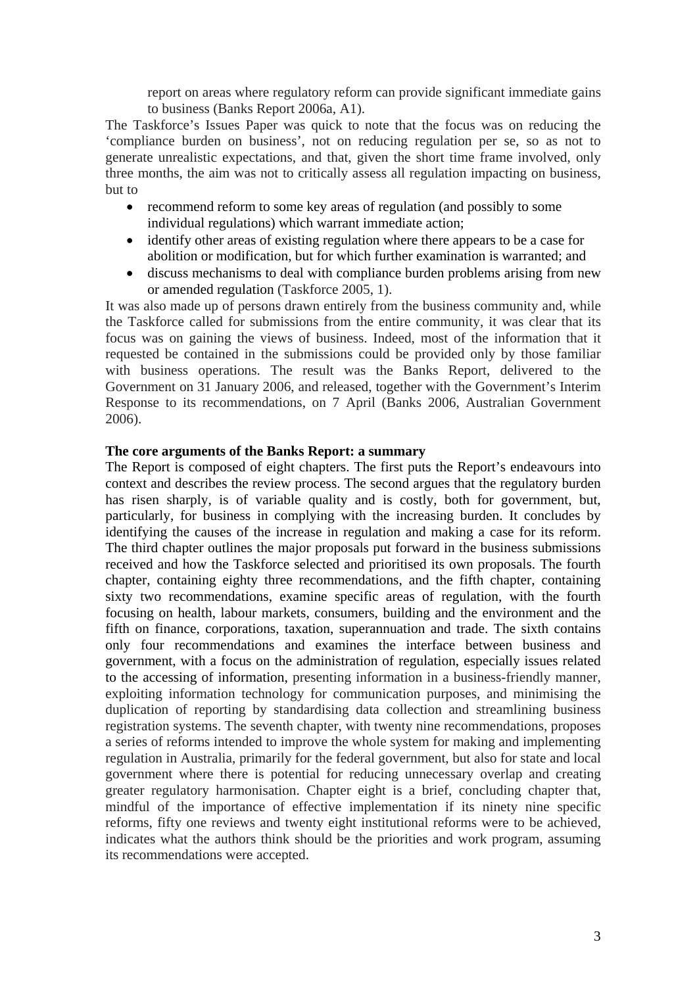report on areas where regulatory reform can provide significant immediate gains to business (Banks Report 2006a, A1).

The Taskforce's Issues Paper was quick to note that the focus was on reducing the 'compliance burden on business', not on reducing regulation per se, so as not to generate unrealistic expectations, and that, given the short time frame involved, only three months, the aim was not to critically assess all regulation impacting on business, but to

- recommend reform to some key areas of regulation (and possibly to some individual regulations) which warrant immediate action;
- identify other areas of existing regulation where there appears to be a case for abolition or modification, but for which further examination is warranted; and
- discuss mechanisms to deal with compliance burden problems arising from new or amended regulation (Taskforce 2005, 1).

It was also made up of persons drawn entirely from the business community and, while the Taskforce called for submissions from the entire community, it was clear that its focus was on gaining the views of business. Indeed, most of the information that it requested be contained in the submissions could be provided only by those familiar with business operations. The result was the Banks Report, delivered to the Government on 31 January 2006, and released, together with the Government's Interim Response to its recommendations, on 7 April (Banks 2006, Australian Government 2006).

### **The core arguments of the Banks Report: a summary**

The Report is composed of eight chapters. The first puts the Report's endeavours into context and describes the review process. The second argues that the regulatory burden has risen sharply, is of variable quality and is costly, both for government, but, particularly, for business in complying with the increasing burden. It concludes by identifying the causes of the increase in regulation and making a case for its reform. The third chapter outlines the major proposals put forward in the business submissions received and how the Taskforce selected and prioritised its own proposals. The fourth chapter, containing eighty three recommendations, and the fifth chapter, containing sixty two recommendations, examine specific areas of regulation, with the fourth focusing on health, labour markets, consumers, building and the environment and the fifth on finance, corporations, taxation, superannuation and trade. The sixth contains only four recommendations and examines the interface between business and government, with a focus on the administration of regulation, especially issues related to the accessing of information, presenting information in a business-friendly manner, exploiting information technology for communication purposes, and minimising the duplication of reporting by standardising data collection and streamlining business registration systems. The seventh chapter, with twenty nine recommendations, proposes a series of reforms intended to improve the whole system for making and implementing regulation in Australia, primarily for the federal government, but also for state and local government where there is potential for reducing unnecessary overlap and creating greater regulatory harmonisation. Chapter eight is a brief, concluding chapter that, mindful of the importance of effective implementation if its ninety nine specific reforms, fifty one reviews and twenty eight institutional reforms were to be achieved, indicates what the authors think should be the priorities and work program, assuming its recommendations were accepted.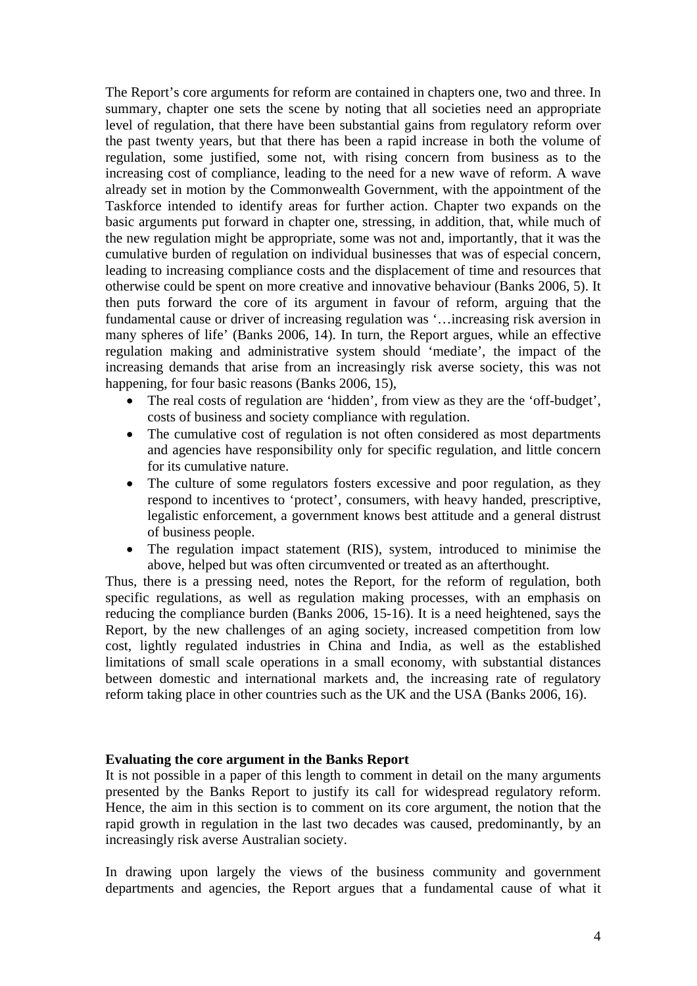The Report's core arguments for reform are contained in chapters one, two and three. In summary, chapter one sets the scene by noting that all societies need an appropriate level of regulation, that there have been substantial gains from regulatory reform over the past twenty years, but that there has been a rapid increase in both the volume of regulation, some justified, some not, with rising concern from business as to the increasing cost of compliance, leading to the need for a new wave of reform. A wave already set in motion by the Commonwealth Government, with the appointment of the Taskforce intended to identify areas for further action. Chapter two expands on the basic arguments put forward in chapter one, stressing, in addition, that, while much of the new regulation might be appropriate, some was not and, importantly, that it was the cumulative burden of regulation on individual businesses that was of especial concern, leading to increasing compliance costs and the displacement of time and resources that otherwise could be spent on more creative and innovative behaviour (Banks 2006, 5). It then puts forward the core of its argument in favour of reform, arguing that the fundamental cause or driver of increasing regulation was '…increasing risk aversion in many spheres of life' (Banks 2006, 14). In turn, the Report argues, while an effective regulation making and administrative system should 'mediate', the impact of the increasing demands that arise from an increasingly risk averse society, this was not happening, for four basic reasons (Banks 2006, 15),

- The real costs of regulation are 'hidden', from view as they are the 'off-budget', costs of business and society compliance with regulation.
- The cumulative cost of regulation is not often considered as most departments and agencies have responsibility only for specific regulation, and little concern for its cumulative nature.
- The culture of some regulators fosters excessive and poor regulation, as they respond to incentives to 'protect', consumers, with heavy handed, prescriptive, legalistic enforcement, a government knows best attitude and a general distrust of business people.
- The regulation impact statement (RIS), system, introduced to minimise the above, helped but was often circumvented or treated as an afterthought.

Thus, there is a pressing need, notes the Report, for the reform of regulation, both specific regulations, as well as regulation making processes, with an emphasis on reducing the compliance burden (Banks 2006, 15-16). It is a need heightened, says the Report, by the new challenges of an aging society, increased competition from low cost, lightly regulated industries in China and India, as well as the established limitations of small scale operations in a small economy, with substantial distances between domestic and international markets and, the increasing rate of regulatory reform taking place in other countries such as the UK and the USA (Banks 2006, 16).

#### **Evaluating the core argument in the Banks Report**

It is not possible in a paper of this length to comment in detail on the many arguments presented by the Banks Report to justify its call for widespread regulatory reform. Hence, the aim in this section is to comment on its core argument, the notion that the rapid growth in regulation in the last two decades was caused, predominantly, by an increasingly risk averse Australian society.

In drawing upon largely the views of the business community and government departments and agencies, the Report argues that a fundamental cause of what it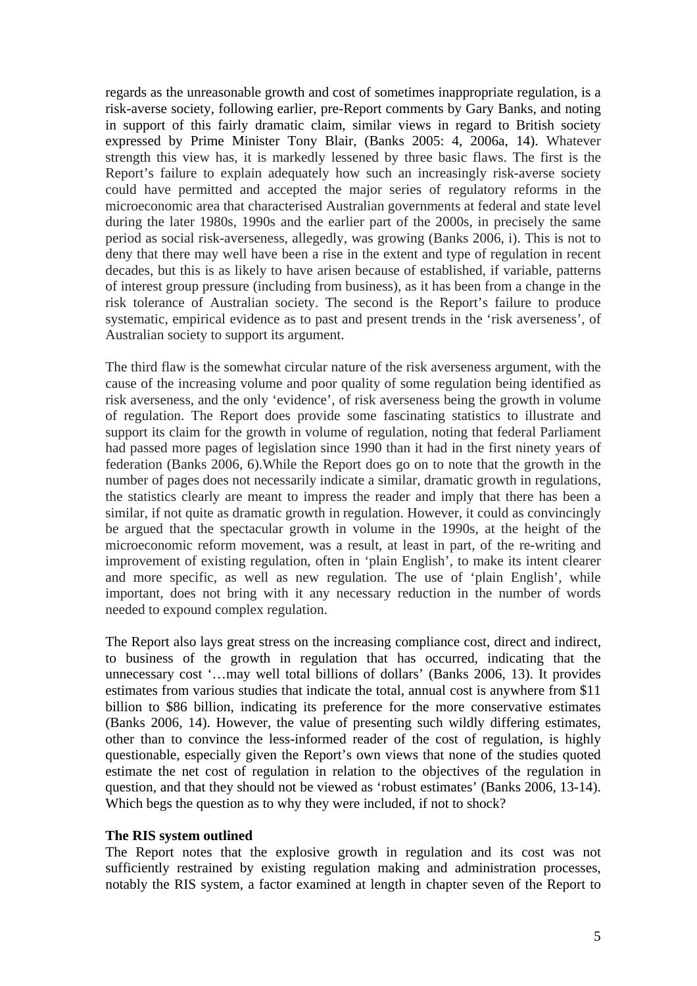regards as the unreasonable growth and cost of sometimes inappropriate regulation, is a risk-averse society, following earlier, pre-Report comments by Gary Banks, and noting in support of this fairly dramatic claim, similar views in regard to British society expressed by Prime Minister Tony Blair, (Banks 2005: 4, 2006a, 14). Whatever strength this view has, it is markedly lessened by three basic flaws. The first is the Report's failure to explain adequately how such an increasingly risk-averse society could have permitted and accepted the major series of regulatory reforms in the microeconomic area that characterised Australian governments at federal and state level during the later 1980s, 1990s and the earlier part of the 2000s, in precisely the same period as social risk-averseness, allegedly, was growing (Banks 2006, i). This is not to deny that there may well have been a rise in the extent and type of regulation in recent decades, but this is as likely to have arisen because of established, if variable, patterns of interest group pressure (including from business), as it has been from a change in the risk tolerance of Australian society. The second is the Report's failure to produce systematic, empirical evidence as to past and present trends in the 'risk averseness', of Australian society to support its argument.

The third flaw is the somewhat circular nature of the risk averseness argument, with the cause of the increasing volume and poor quality of some regulation being identified as risk averseness, and the only 'evidence', of risk averseness being the growth in volume of regulation. The Report does provide some fascinating statistics to illustrate and support its claim for the growth in volume of regulation, noting that federal Parliament had passed more pages of legislation since 1990 than it had in the first ninety years of federation (Banks 2006, 6).While the Report does go on to note that the growth in the number of pages does not necessarily indicate a similar, dramatic growth in regulations, the statistics clearly are meant to impress the reader and imply that there has been a similar, if not quite as dramatic growth in regulation. However, it could as convincingly be argued that the spectacular growth in volume in the 1990s, at the height of the microeconomic reform movement, was a result, at least in part, of the re-writing and improvement of existing regulation, often in 'plain English', to make its intent clearer and more specific, as well as new regulation. The use of 'plain English', while important, does not bring with it any necessary reduction in the number of words needed to expound complex regulation.

The Report also lays great stress on the increasing compliance cost, direct and indirect, to business of the growth in regulation that has occurred, indicating that the unnecessary cost '…may well total billions of dollars' (Banks 2006, 13). It provides estimates from various studies that indicate the total, annual cost is anywhere from \$11 billion to \$86 billion, indicating its preference for the more conservative estimates (Banks 2006, 14). However, the value of presenting such wildly differing estimates, other than to convince the less-informed reader of the cost of regulation, is highly questionable, especially given the Report's own views that none of the studies quoted estimate the net cost of regulation in relation to the objectives of the regulation in question, and that they should not be viewed as 'robust estimates' (Banks 2006, 13-14). Which begs the question as to why they were included, if not to shock?

# **The RIS system outlined**

The Report notes that the explosive growth in regulation and its cost was not sufficiently restrained by existing regulation making and administration processes, notably the RIS system, a factor examined at length in chapter seven of the Report to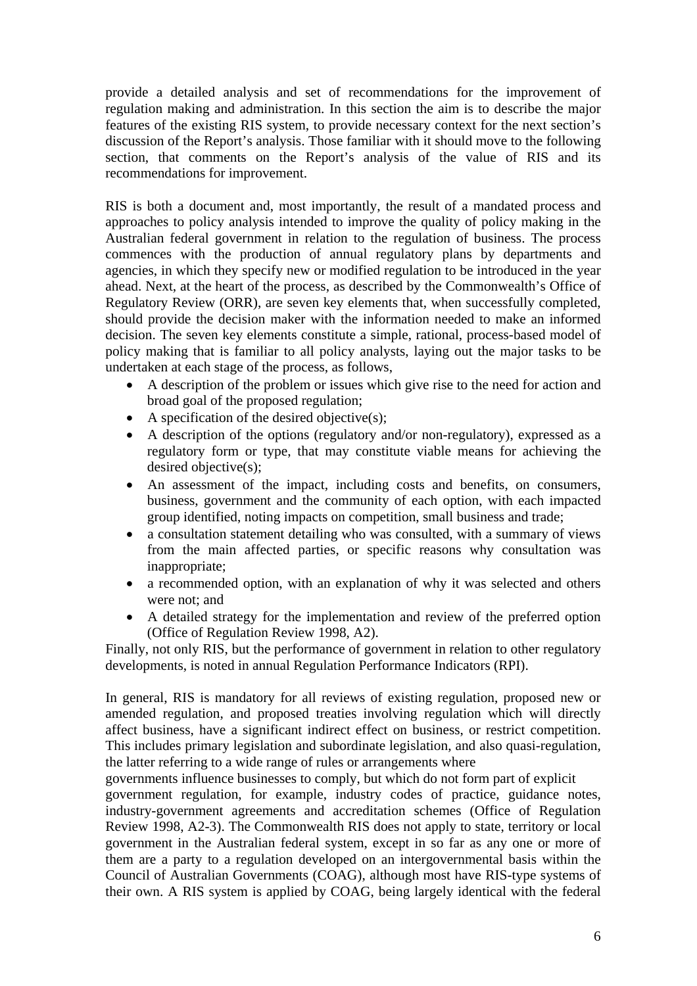provide a detailed analysis and set of recommendations for the improvement of regulation making and administration. In this section the aim is to describe the major features of the existing RIS system, to provide necessary context for the next section's discussion of the Report's analysis. Those familiar with it should move to the following section, that comments on the Report's analysis of the value of RIS and its recommendations for improvement.

RIS is both a document and, most importantly, the result of a mandated process and approaches to policy analysis intended to improve the quality of policy making in the Australian federal government in relation to the regulation of business. The process commences with the production of annual regulatory plans by departments and agencies, in which they specify new or modified regulation to be introduced in the year ahead. Next, at the heart of the process, as described by the Commonwealth's Office of Regulatory Review (ORR), are seven key elements that, when successfully completed, should provide the decision maker with the information needed to make an informed decision. The seven key elements constitute a simple, rational, process-based model of policy making that is familiar to all policy analysts, laying out the major tasks to be undertaken at each stage of the process, as follows,

- A description of the problem or issues which give rise to the need for action and broad goal of the proposed regulation;
- A specification of the desired objective(s);
- A description of the options (regulatory and/or non-regulatory), expressed as a regulatory form or type, that may constitute viable means for achieving the desired objective(s);
- An assessment of the impact, including costs and benefits, on consumers, business, government and the community of each option, with each impacted group identified, noting impacts on competition, small business and trade;
- a consultation statement detailing who was consulted, with a summary of views from the main affected parties, or specific reasons why consultation was inappropriate;
- a recommended option, with an explanation of why it was selected and others were not; and
- A detailed strategy for the implementation and review of the preferred option (Office of Regulation Review 1998, A2).

Finally, not only RIS, but the performance of government in relation to other regulatory developments, is noted in annual Regulation Performance Indicators (RPI).

In general, RIS is mandatory for all reviews of existing regulation, proposed new or amended regulation, and proposed treaties involving regulation which will directly affect business, have a significant indirect effect on business, or restrict competition. This includes primary legislation and subordinate legislation, and also quasi-regulation, the latter referring to a wide range of rules or arrangements where

governments influence businesses to comply, but which do not form part of explicit

government regulation, for example, industry codes of practice, guidance notes, industry-government agreements and accreditation schemes (Office of Regulation Review 1998, A2-3). The Commonwealth RIS does not apply to state, territory or local government in the Australian federal system, except in so far as any one or more of them are a party to a regulation developed on an intergovernmental basis within the Council of Australian Governments (COAG), although most have RIS-type systems of their own. A RIS system is applied by COAG, being largely identical with the federal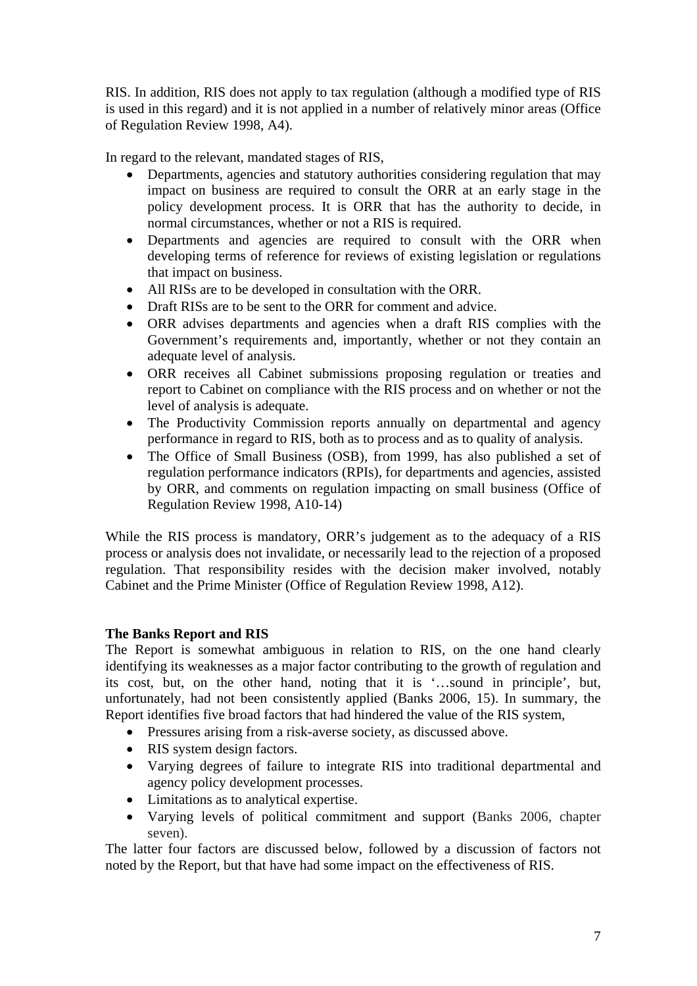RIS. In addition, RIS does not apply to tax regulation (although a modified type of RIS is used in this regard) and it is not applied in a number of relatively minor areas (Office of Regulation Review 1998, A4).

In regard to the relevant, mandated stages of RIS,

- Departments, agencies and statutory authorities considering regulation that may impact on business are required to consult the ORR at an early stage in the policy development process. It is ORR that has the authority to decide, in normal circumstances, whether or not a RIS is required.
- Departments and agencies are required to consult with the ORR when developing terms of reference for reviews of existing legislation or regulations that impact on business.
- All RISs are to be developed in consultation with the ORR.
- Draft RISs are to be sent to the ORR for comment and advice.
- ORR advises departments and agencies when a draft RIS complies with the Government's requirements and, importantly, whether or not they contain an adequate level of analysis.
- ORR receives all Cabinet submissions proposing regulation or treaties and report to Cabinet on compliance with the RIS process and on whether or not the level of analysis is adequate.
- The Productivity Commission reports annually on departmental and agency performance in regard to RIS, both as to process and as to quality of analysis.
- The Office of Small Business (OSB), from 1999, has also published a set of regulation performance indicators (RPIs), for departments and agencies, assisted by ORR, and comments on regulation impacting on small business (Office of Regulation Review 1998, A10-14)

While the RIS process is mandatory, ORR's judgement as to the adequacy of a RIS process or analysis does not invalidate, or necessarily lead to the rejection of a proposed regulation. That responsibility resides with the decision maker involved, notably Cabinet and the Prime Minister (Office of Regulation Review 1998, A12).

# **The Banks Report and RIS**

The Report is somewhat ambiguous in relation to RIS, on the one hand clearly identifying its weaknesses as a major factor contributing to the growth of regulation and its cost, but, on the other hand, noting that it is '…sound in principle', but, unfortunately, had not been consistently applied (Banks 2006, 15). In summary, the Report identifies five broad factors that had hindered the value of the RIS system,

- Pressures arising from a risk-averse society, as discussed above.
- RIS system design factors.
- Varying degrees of failure to integrate RIS into traditional departmental and agency policy development processes.
- Limitations as to analytical expertise.
- Varying levels of political commitment and support (Banks 2006, chapter seven).

The latter four factors are discussed below, followed by a discussion of factors not noted by the Report, but that have had some impact on the effectiveness of RIS.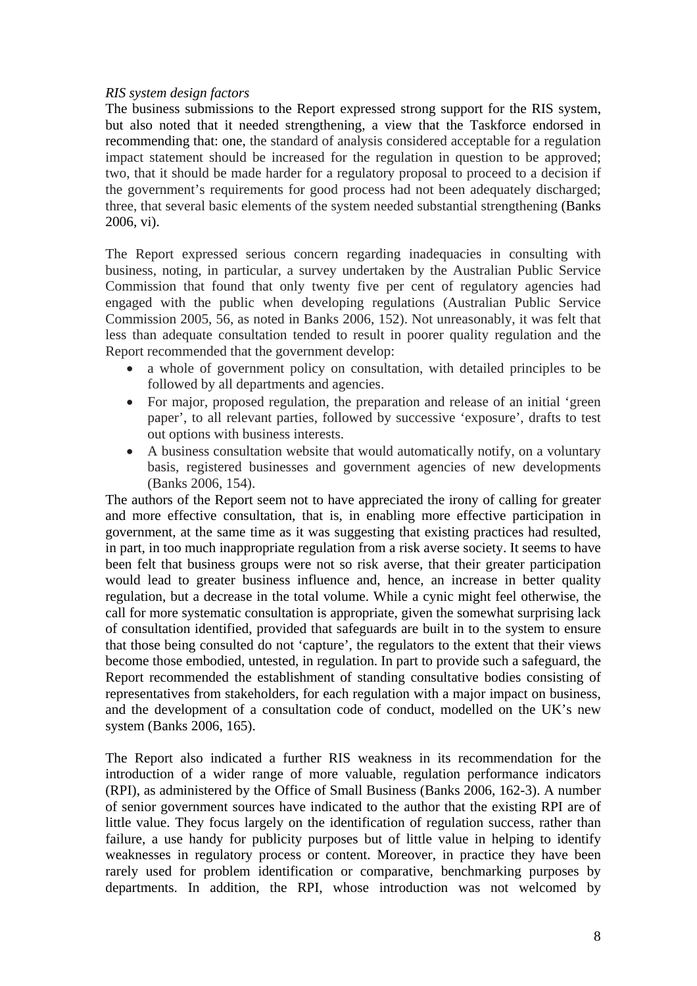# *RIS system design factors*

The business submissions to the Report expressed strong support for the RIS system, but also noted that it needed strengthening, a view that the Taskforce endorsed in recommending that: one, the standard of analysis considered acceptable for a regulation impact statement should be increased for the regulation in question to be approved; two, that it should be made harder for a regulatory proposal to proceed to a decision if the government's requirements for good process had not been adequately discharged; three, that several basic elements of the system needed substantial strengthening (Banks 2006, vi).

The Report expressed serious concern regarding inadequacies in consulting with business, noting, in particular, a survey undertaken by the Australian Public Service Commission that found that only twenty five per cent of regulatory agencies had engaged with the public when developing regulations (Australian Public Service Commission 2005, 56, as noted in Banks 2006, 152). Not unreasonably, it was felt that less than adequate consultation tended to result in poorer quality regulation and the Report recommended that the government develop:

- a whole of government policy on consultation, with detailed principles to be followed by all departments and agencies.
- For major, proposed regulation, the preparation and release of an initial 'green paper', to all relevant parties, followed by successive 'exposure', drafts to test out options with business interests.
- A business consultation website that would automatically notify, on a voluntary basis, registered businesses and government agencies of new developments (Banks 2006, 154).

The authors of the Report seem not to have appreciated the irony of calling for greater and more effective consultation, that is, in enabling more effective participation in government, at the same time as it was suggesting that existing practices had resulted, in part, in too much inappropriate regulation from a risk averse society. It seems to have been felt that business groups were not so risk averse, that their greater participation would lead to greater business influence and, hence, an increase in better quality regulation, but a decrease in the total volume. While a cynic might feel otherwise, the call for more systematic consultation is appropriate, given the somewhat surprising lack of consultation identified, provided that safeguards are built in to the system to ensure that those being consulted do not 'capture', the regulators to the extent that their views become those embodied, untested, in regulation. In part to provide such a safeguard, the Report recommended the establishment of standing consultative bodies consisting of representatives from stakeholders, for each regulation with a major impact on business, and the development of a consultation code of conduct, modelled on the UK's new system (Banks 2006, 165).

The Report also indicated a further RIS weakness in its recommendation for the introduction of a wider range of more valuable, regulation performance indicators (RPI), as administered by the Office of Small Business (Banks 2006, 162-3). A number of senior government sources have indicated to the author that the existing RPI are of little value. They focus largely on the identification of regulation success, rather than failure, a use handy for publicity purposes but of little value in helping to identify weaknesses in regulatory process or content. Moreover, in practice they have been rarely used for problem identification or comparative, benchmarking purposes by departments. In addition, the RPI, whose introduction was not welcomed by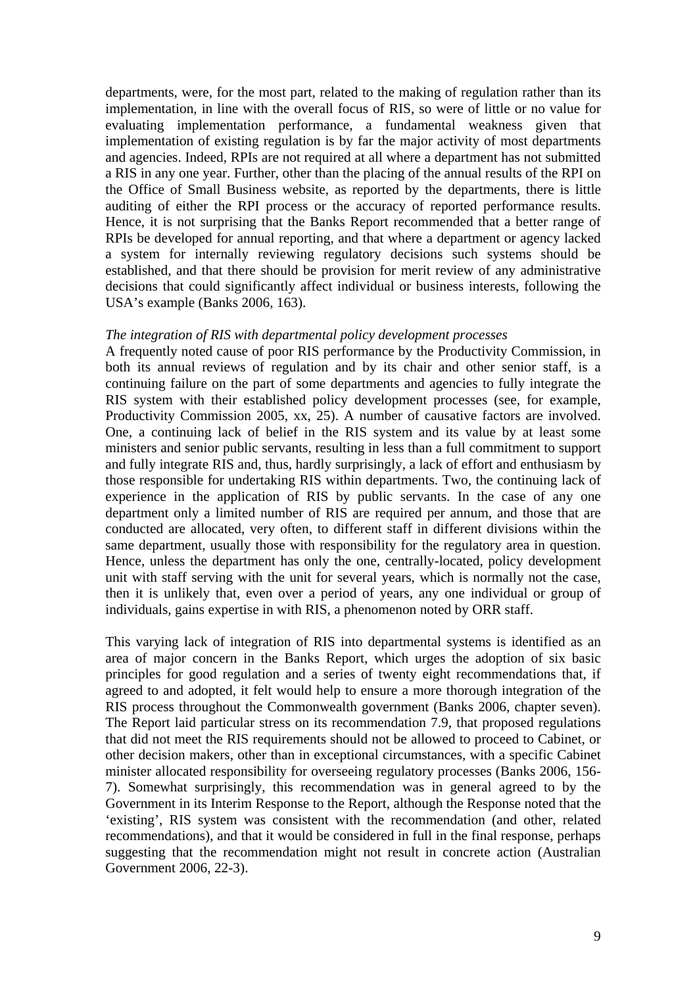departments, were, for the most part, related to the making of regulation rather than its implementation, in line with the overall focus of RIS, so were of little or no value for evaluating implementation performance, a fundamental weakness given that implementation of existing regulation is by far the major activity of most departments and agencies. Indeed, RPIs are not required at all where a department has not submitted a RIS in any one year. Further, other than the placing of the annual results of the RPI on the Office of Small Business website, as reported by the departments, there is little auditing of either the RPI process or the accuracy of reported performance results. Hence, it is not surprising that the Banks Report recommended that a better range of RPIs be developed for annual reporting, and that where a department or agency lacked a system for internally reviewing regulatory decisions such systems should be established, and that there should be provision for merit review of any administrative decisions that could significantly affect individual or business interests, following the USA's example (Banks 2006, 163).

#### *The integration of RIS with departmental policy development processes*

A frequently noted cause of poor RIS performance by the Productivity Commission, in both its annual reviews of regulation and by its chair and other senior staff, is a continuing failure on the part of some departments and agencies to fully integrate the RIS system with their established policy development processes (see, for example, Productivity Commission 2005, xx, 25). A number of causative factors are involved. One, a continuing lack of belief in the RIS system and its value by at least some ministers and senior public servants, resulting in less than a full commitment to support and fully integrate RIS and, thus, hardly surprisingly, a lack of effort and enthusiasm by those responsible for undertaking RIS within departments. Two, the continuing lack of experience in the application of RIS by public servants. In the case of any one department only a limited number of RIS are required per annum, and those that are conducted are allocated, very often, to different staff in different divisions within the same department, usually those with responsibility for the regulatory area in question. Hence, unless the department has only the one, centrally-located, policy development unit with staff serving with the unit for several years, which is normally not the case, then it is unlikely that, even over a period of years, any one individual or group of individuals, gains expertise in with RIS, a phenomenon noted by ORR staff.

This varying lack of integration of RIS into departmental systems is identified as an area of major concern in the Banks Report, which urges the adoption of six basic principles for good regulation and a series of twenty eight recommendations that, if agreed to and adopted, it felt would help to ensure a more thorough integration of the RIS process throughout the Commonwealth government (Banks 2006, chapter seven). The Report laid particular stress on its recommendation 7.9, that proposed regulations that did not meet the RIS requirements should not be allowed to proceed to Cabinet, or other decision makers, other than in exceptional circumstances, with a specific Cabinet minister allocated responsibility for overseeing regulatory processes (Banks 2006, 156- 7). Somewhat surprisingly, this recommendation was in general agreed to by the Government in its Interim Response to the Report, although the Response noted that the 'existing', RIS system was consistent with the recommendation (and other, related recommendations), and that it would be considered in full in the final response, perhaps suggesting that the recommendation might not result in concrete action (Australian Government 2006, 22-3).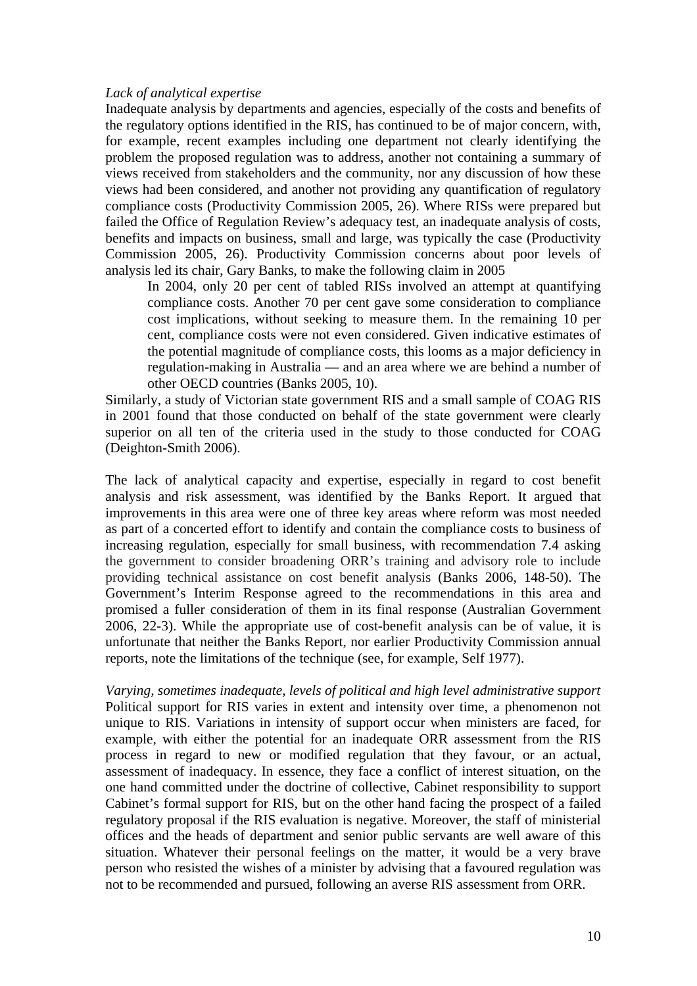### *Lack of analytical expertise*

Inadequate analysis by departments and agencies, especially of the costs and benefits of the regulatory options identified in the RIS, has continued to be of major concern, with, for example, recent examples including one department not clearly identifying the problem the proposed regulation was to address, another not containing a summary of views received from stakeholders and the community, nor any discussion of how these views had been considered, and another not providing any quantification of regulatory compliance costs (Productivity Commission 2005, 26). Where RISs were prepared but failed the Office of Regulation Review's adequacy test, an inadequate analysis of costs, benefits and impacts on business, small and large, was typically the case (Productivity Commission 2005, 26). Productivity Commission concerns about poor levels of analysis led its chair, Gary Banks, to make the following claim in 2005

In 2004, only 20 per cent of tabled RISs involved an attempt at quantifying compliance costs. Another 70 per cent gave some consideration to compliance cost implications, without seeking to measure them. In the remaining 10 per cent, compliance costs were not even considered. Given indicative estimates of the potential magnitude of compliance costs, this looms as a major deficiency in regulation-making in Australia — and an area where we are behind a number of other OECD countries (Banks 2005, 10).

Similarly, a study of Victorian state government RIS and a small sample of COAG RIS in 2001 found that those conducted on behalf of the state government were clearly superior on all ten of the criteria used in the study to those conducted for COAG (Deighton-Smith 2006).

The lack of analytical capacity and expertise, especially in regard to cost benefit analysis and risk assessment, was identified by the Banks Report. It argued that improvements in this area were one of three key areas where reform was most needed as part of a concerted effort to identify and contain the compliance costs to business of increasing regulation, especially for small business, with recommendation 7.4 asking the government to consider broadening ORR's training and advisory role to include providing technical assistance on cost benefit analysis (Banks 2006, 148-50). The Government's Interim Response agreed to the recommendations in this area and promised a fuller consideration of them in its final response (Australian Government 2006, 22-3). While the appropriate use of cost-benefit analysis can be of value, it is unfortunate that neither the Banks Report, nor earlier Productivity Commission annual reports, note the limitations of the technique (see, for example, Self 1977).

*Varying, sometimes inadequate, levels of political and high level administrative support* Political support for RIS varies in extent and intensity over time, a phenomenon not unique to RIS. Variations in intensity of support occur when ministers are faced, for example, with either the potential for an inadequate ORR assessment from the RIS process in regard to new or modified regulation that they favour, or an actual, assessment of inadequacy. In essence, they face a conflict of interest situation, on the one hand committed under the doctrine of collective, Cabinet responsibility to support Cabinet's formal support for RIS, but on the other hand facing the prospect of a failed regulatory proposal if the RIS evaluation is negative. Moreover, the staff of ministerial offices and the heads of department and senior public servants are well aware of this situation. Whatever their personal feelings on the matter, it would be a very brave person who resisted the wishes of a minister by advising that a favoured regulation was not to be recommended and pursued, following an averse RIS assessment from ORR.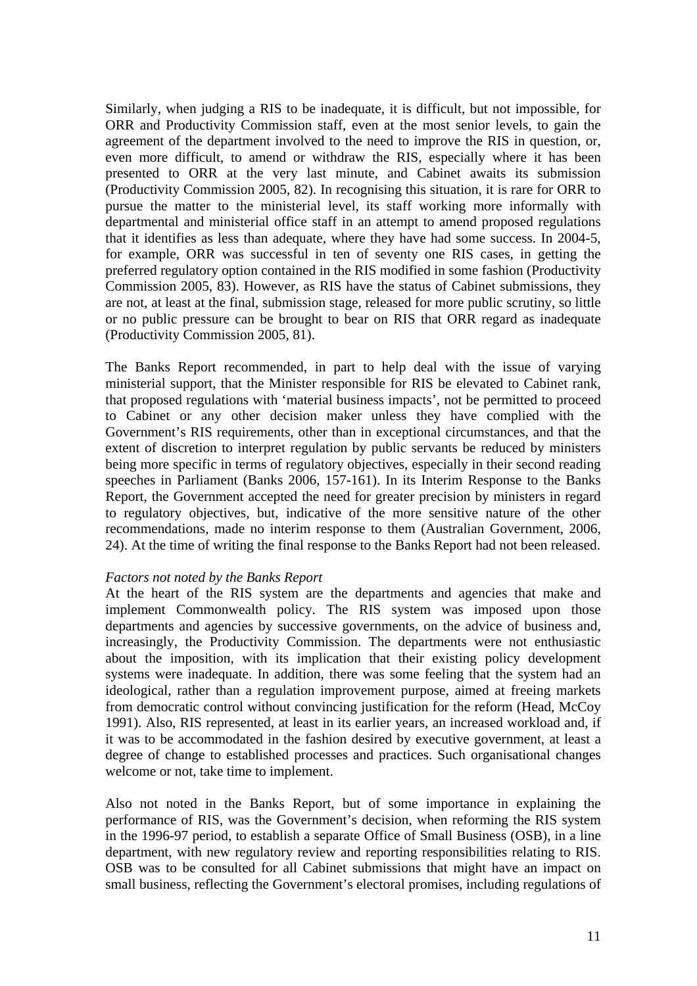Similarly, when judging a RIS to be inadequate, it is difficult, but not impossible, for ORR and Productivity Commission staff, even at the most senior levels, to gain the agreement of the department involved to the need to improve the RIS in question, or, even more difficult, to amend or withdraw the RIS, especially where it has been presented to ORR at the very last minute, and Cabinet awaits its submission (Productivity Commission 2005, 82). In recognising this situation, it is rare for ORR to pursue the matter to the ministerial level, its staff working more informally with departmental and ministerial office staff in an attempt to amend proposed regulations that it identifies as less than adequate, where they have had some success. In 2004-5, for example, ORR was successful in ten of seventy one RIS cases, in getting the preferred regulatory option contained in the RIS modified in some fashion (Productivity Commission 2005, 83). However, as RIS have the status of Cabinet submissions, they are not, at least at the final, submission stage, released for more public scrutiny, so little or no public pressure can be brought to bear on RIS that ORR regard as inadequate (Productivity Commission 2005, 81).

The Banks Report recommended, in part to help deal with the issue of varying ministerial support, that the Minister responsible for RIS be elevated to Cabinet rank, that proposed regulations with 'material business impacts', not be permitted to proceed to Cabinet or any other decision maker unless they have complied with the Government's RIS requirements, other than in exceptional circumstances, and that the extent of discretion to interpret regulation by public servants be reduced by ministers being more specific in terms of regulatory objectives, especially in their second reading speeches in Parliament (Banks 2006, 157-161). In its Interim Response to the Banks Report, the Government accepted the need for greater precision by ministers in regard to regulatory objectives, but, indicative of the more sensitive nature of the other recommendations, made no interim response to them (Australian Government, 2006, 24). At the time of writing the final response to the Banks Report had not been released.

# *Factors not noted by the Banks Report*

At the heart of the RIS system are the departments and agencies that make and implement Commonwealth policy. The RIS system was imposed upon those departments and agencies by successive governments, on the advice of business and, increasingly, the Productivity Commission. The departments were not enthusiastic about the imposition, with its implication that their existing policy development systems were inadequate. In addition, there was some feeling that the system had an ideological, rather than a regulation improvement purpose, aimed at freeing markets from democratic control without convincing justification for the reform (Head, McCoy 1991). Also, RIS represented, at least in its earlier years, an increased workload and, if it was to be accommodated in the fashion desired by executive government, at least a degree of change to established processes and practices. Such organisational changes welcome or not, take time to implement.

Also not noted in the Banks Report, but of some importance in explaining the performance of RIS, was the Government's decision, when reforming the RIS system in the 1996-97 period, to establish a separate Office of Small Business (OSB), in a line department, with new regulatory review and reporting responsibilities relating to RIS. OSB was to be consulted for all Cabinet submissions that might have an impact on small business, reflecting the Government's electoral promises, including regulations of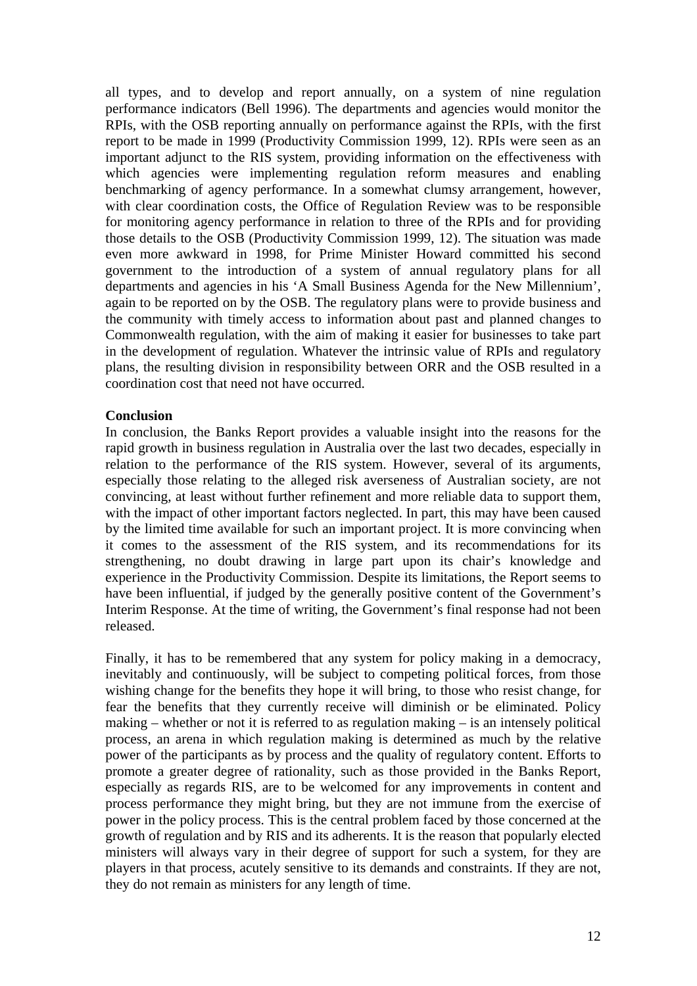all types, and to develop and report annually, on a system of nine regulation performance indicators (Bell 1996). The departments and agencies would monitor the RPIs, with the OSB reporting annually on performance against the RPIs, with the first report to be made in 1999 (Productivity Commission 1999, 12). RPIs were seen as an important adjunct to the RIS system, providing information on the effectiveness with which agencies were implementing regulation reform measures and enabling benchmarking of agency performance. In a somewhat clumsy arrangement, however, with clear coordination costs, the Office of Regulation Review was to be responsible for monitoring agency performance in relation to three of the RPIs and for providing those details to the OSB (Productivity Commission 1999, 12). The situation was made even more awkward in 1998, for Prime Minister Howard committed his second government to the introduction of a system of annual regulatory plans for all departments and agencies in his 'A Small Business Agenda for the New Millennium', again to be reported on by the OSB. The regulatory plans were to provide business and the community with timely access to information about past and planned changes to Commonwealth regulation, with the aim of making it easier for businesses to take part in the development of regulation. Whatever the intrinsic value of RPIs and regulatory plans, the resulting division in responsibility between ORR and the OSB resulted in a coordination cost that need not have occurred.

### **Conclusion**

In conclusion, the Banks Report provides a valuable insight into the reasons for the rapid growth in business regulation in Australia over the last two decades, especially in relation to the performance of the RIS system. However, several of its arguments, especially those relating to the alleged risk averseness of Australian society, are not convincing, at least without further refinement and more reliable data to support them, with the impact of other important factors neglected. In part, this may have been caused by the limited time available for such an important project. It is more convincing when it comes to the assessment of the RIS system, and its recommendations for its strengthening, no doubt drawing in large part upon its chair's knowledge and experience in the Productivity Commission. Despite its limitations, the Report seems to have been influential, if judged by the generally positive content of the Government's Interim Response. At the time of writing, the Government's final response had not been released.

Finally, it has to be remembered that any system for policy making in a democracy, inevitably and continuously, will be subject to competing political forces, from those wishing change for the benefits they hope it will bring, to those who resist change, for fear the benefits that they currently receive will diminish or be eliminated. Policy making – whether or not it is referred to as regulation making – is an intensely political process, an arena in which regulation making is determined as much by the relative power of the participants as by process and the quality of regulatory content. Efforts to promote a greater degree of rationality, such as those provided in the Banks Report, especially as regards RIS, are to be welcomed for any improvements in content and process performance they might bring, but they are not immune from the exercise of power in the policy process. This is the central problem faced by those concerned at the growth of regulation and by RIS and its adherents. It is the reason that popularly elected ministers will always vary in their degree of support for such a system, for they are players in that process, acutely sensitive to its demands and constraints. If they are not, they do not remain as ministers for any length of time.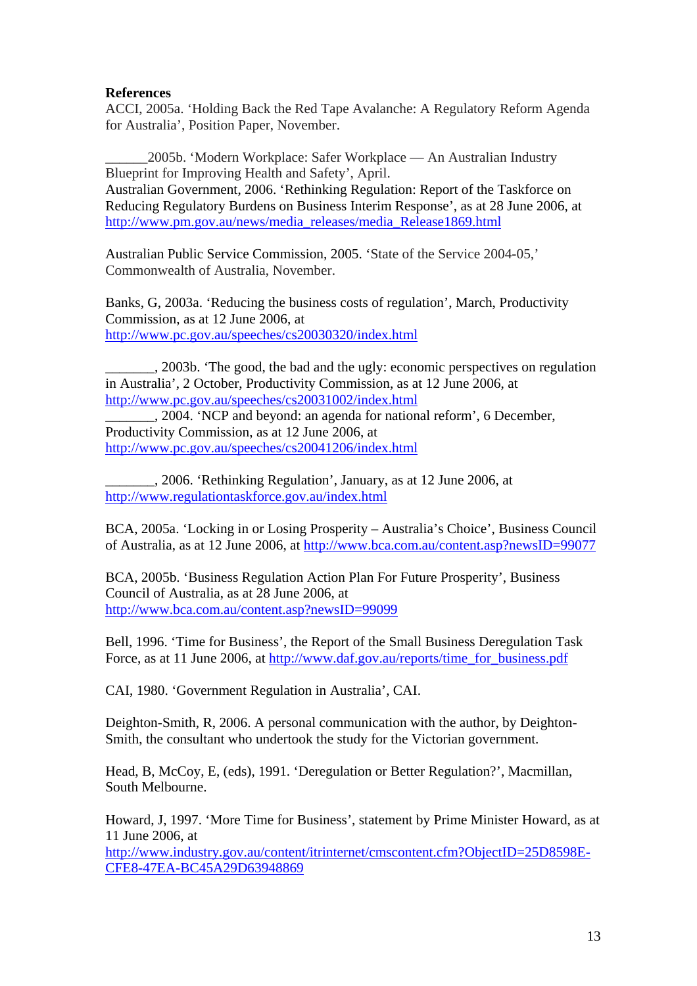# **References**

ACCI, 2005a. 'Holding Back the Red Tape Avalanche: A Regulatory Reform Agenda for Australia', Position Paper, November.

\_\_\_\_\_\_2005b. 'Modern Workplace: Safer Workplace — An Australian Industry Blueprint for Improving Health and Safety', April. Australian Government, 2006. 'Rethinking Regulation: Report of the Taskforce on Reducing Regulatory Burdens on Business Interim Response', as at 28 June 2006, at [http://www.pm.gov.au/news/media\\_releases/media\\_Release1869.html](http://www.pm.gov.au/news/media_releases/media_Release1869.html)

Australian Public Service Commission, 2005. 'State of the Service 2004-05,' Commonwealth of Australia, November.

Banks, G, 2003a. 'Reducing the business costs of regulation', March, Productivity Commission, as at 12 June 2006, at <http://www.pc.gov.au/speeches/cs20030320/index.html>

\_\_\_\_\_\_\_, 2003b. 'The good, the bad and the ugly: economic perspectives on regulation in Australia', 2 October, Productivity Commission, as at 12 June 2006, at <http://www.pc.gov.au/speeches/cs20031002/index.html>

\_\_\_\_\_\_\_, 2004. 'NCP and beyond: an agenda for national reform', 6 December, Productivity Commission, as at 12 June 2006, at <http://www.pc.gov.au/speeches/cs20041206/index.html>

\_\_\_\_\_\_\_, 2006. 'Rethinking Regulation', January, as at 12 June 2006, at <http://www.regulationtaskforce.gov.au/index.html>

BCA, 2005a. 'Locking in or Losing Prosperity – Australia's Choice', Business Council of Australia, as at 12 June 2006, at<http://www.bca.com.au/content.asp?newsID=99077>

BCA, 2005b. 'Business Regulation Action Plan For Future Prosperity', Business Council of Australia, as at 28 June 2006, at <http://www.bca.com.au/content.asp?newsID=99099>

Bell, 1996. 'Time for Business', the Report of the Small Business Deregulation Task Force, as at 11 June 2006, at [http://www.daf.gov.au/reports/time\\_for\\_business.pdf](http://www.daf.gov.au/reports/time_for_business.pdf)

CAI, 1980. 'Government Regulation in Australia', CAI.

Deighton-Smith, R, 2006. A personal communication with the author, by Deighton-Smith, the consultant who undertook the study for the Victorian government.

Head, B, McCoy, E, (eds), 1991. 'Deregulation or Better Regulation?', Macmillan, South Melbourne.

Howard, J, 1997. 'More Time for Business', statement by Prime Minister Howard, as at 11 June 2006, at

[http://www.industry.gov.au/content/itrinternet/cmscontent.cfm?ObjectID=25D8598E-](http://www.industry.gov.au/content/itrinternet/cmscontent.cfm?ObjectID=25D8598E-CFE8-47EA-BC45A29D63948869)[CFE8-47EA-BC45A29D63948869](http://www.industry.gov.au/content/itrinternet/cmscontent.cfm?ObjectID=25D8598E-CFE8-47EA-BC45A29D63948869)